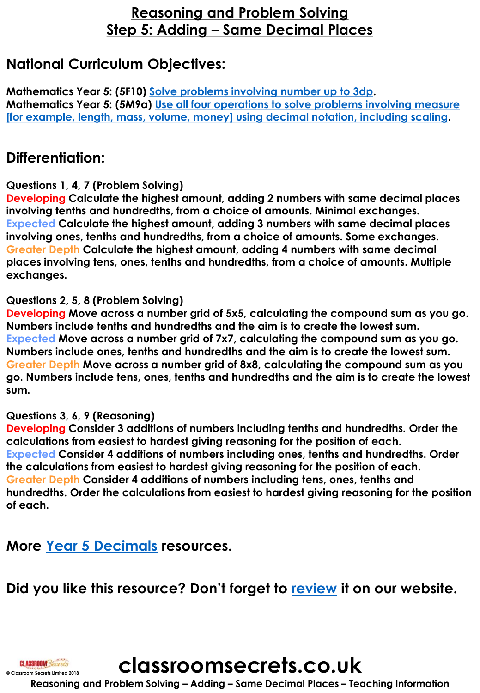## **Reasoning and Problem Solving Step 5: Adding – Same Decimal Places**

## **National Curriculum Objectives:**

**Mathematics Year 5: (5F10) [Solve problems involving number up to 3dp](https://classroomsecrets.co.uk/content-domain-filter/?fwp_contentdomain=5f10). Mathematics Year 5: (5M9a) Use all four operations to solve problems involving measure [\[for example, length, mass, volume, money\] using decimal notation, including scaling.](https://classroomsecrets.co.uk/content-domain-filter/?fwp_contentdomain=5m9a)**

## **Differentiation:**

## **Questions 1, 4, 7 (Problem Solving)**

**Developing Calculate the highest amount, adding 2 numbers with same decimal places involving tenths and hundredths, from a choice of amounts. Minimal exchanges. Expected Calculate the highest amount, adding 3 numbers with same decimal places involving ones, tenths and hundredths, from a choice of amounts. Some exchanges. Greater Depth Calculate the highest amount, adding 4 numbers with same decimal places involving tens, ones, tenths and hundredths, from a choice of amounts. Multiple exchanges.**

## **Questions 2, 5, 8 (Problem Solving)**

**Developing Move across a number grid of 5x5, calculating the compound sum as you go. Numbers include tenths and hundredths and the aim is to create the lowest sum. Expected Move across a number grid of 7x7, calculating the compound sum as you go. Numbers include ones, tenths and hundredths and the aim is to create the lowest sum. Greater Depth Move across a number grid of 8x8, calculating the compound sum as you go. Numbers include tens, ones, tenths and hundredths and the aim is to create the lowest sum.**

## **Questions 3, 6, 9 (Reasoning)**

**CLASSROOM** Secrets **© Classroom Secrets Limited 2018**

**Developing Consider 3 additions of numbers including tenths and hundredths. Order the calculations from easiest to hardest giving reasoning for the position of each. Expected Consider 4 additions of numbers including ones, tenths and hundredths. Order the calculations from easiest to hardest giving reasoning for the position of each. Greater Depth Consider 4 additions of numbers including tens, ones, tenths and hundredths. Order the calculations from easiest to hardest giving reasoning for the position of each.**

## **More [Year 5 Decimals](https://classroomsecrets.co.uk/category/maths/year-5/summer-block-1-decimals-year-5/) resources.**

## **Did you like this resource? Don't forget to [review](https://classroomsecrets.co.uk/adding-same-decimal-places-year-5-decimals-resource-pack/) it on our website.**



**Reasoning and Problem Solving – Adding – Same Decimal Places – Teaching Information**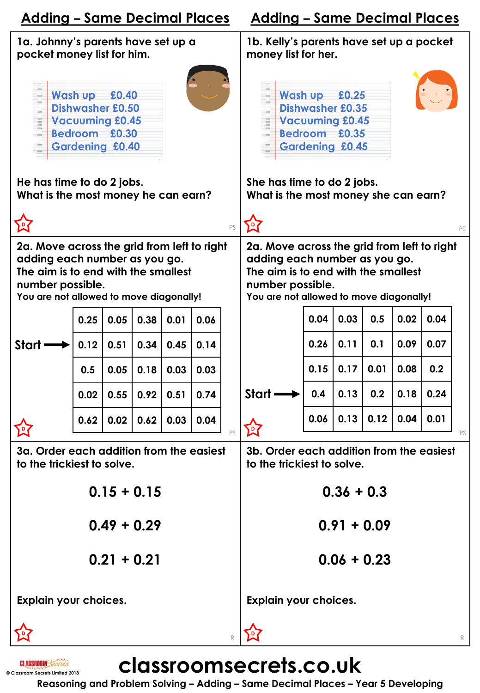|                                                                                                                                                                                    | <b>Adding - Same Decimal Places</b>                                                                                     |               |      |                                                                    |                                                                                                                                                                                    | <b>Adding - Same Decimal Places</b> |                                                                                                                         |      |               |      |      |      |    |
|------------------------------------------------------------------------------------------------------------------------------------------------------------------------------------|-------------------------------------------------------------------------------------------------------------------------|---------------|------|--------------------------------------------------------------------|------------------------------------------------------------------------------------------------------------------------------------------------------------------------------------|-------------------------------------|-------------------------------------------------------------------------------------------------------------------------|------|---------------|------|------|------|----|
| 1a. Johnny's parents have set up a<br>pocket money list for him.                                                                                                                   |                                                                                                                         |               |      |                                                                    |                                                                                                                                                                                    |                                     | 1b. Kelly's parents have set up a pocket<br>money list for her.                                                         |      |               |      |      |      |    |
| $\frac{1}{2}$                                                                                                                                                                      | <b>Wash up</b><br>£0.40<br><b>Dishwasher £0.50</b><br><b>Vacuuming £0.45</b><br>Bedroom £0.30<br><b>Gardening £0.40</b> |               |      |                                                                    |                                                                                                                                                                                    |                                     | <b>Wash up</b><br>£0.25<br><b>Dishwasher £0.35</b><br><b>Vacuuming £0.45</b><br>Bedroom £0.35<br><b>Gardening £0.45</b> |      |               |      |      |      |    |
| He has time to do 2 jobs.<br>What is the most money he can earn?                                                                                                                   |                                                                                                                         |               |      | She has time to do 2 jobs.<br>What is the most money she can earn? |                                                                                                                                                                                    |                                     |                                                                                                                         |      |               |      |      |      |    |
|                                                                                                                                                                                    |                                                                                                                         |               |      |                                                                    |                                                                                                                                                                                    | PS                                  |                                                                                                                         |      |               |      |      |      | PS |
| 2a. Move across the grid from left to right<br>adding each number as you go.<br>The aim is to end with the smallest<br>number possible.<br>You are not allowed to move diagonally! |                                                                                                                         |               |      |                                                                    | 2a. Move across the grid from left to right<br>adding each number as you go.<br>The aim is to end with the smallest<br>number possible.<br>You are not allowed to move diagonally! |                                     |                                                                                                                         |      |               |      |      |      |    |
|                                                                                                                                                                                    | 0.25                                                                                                                    | 0.05          | 0.38 | 0.01                                                               | 0.06                                                                                                                                                                               |                                     |                                                                                                                         | 0.04 | 0.03          | 0.5  | 0.02 | 0.04 |    |
| <b>Start</b>                                                                                                                                                                       | 0.12                                                                                                                    | 0.51          | 0.34 | 0.45                                                               | 0.14                                                                                                                                                                               |                                     |                                                                                                                         | 0.26 | 0.11          | 0.1  | 0.09 | 0.07 |    |
|                                                                                                                                                                                    | 0.5                                                                                                                     | 0.05          | 0.18 | 0.03                                                               | 0.03                                                                                                                                                                               |                                     |                                                                                                                         | 0.15 | 0.17          | 0.01 | 0.08 | 0.2  |    |
|                                                                                                                                                                                    | 0.02                                                                                                                    | 0.55          | 0.92 | 0.51                                                               | 0.74                                                                                                                                                                               |                                     | Start                                                                                                                   | 0.4  | 0.13          | 0.2  | 0.18 | 0.24 |    |
|                                                                                                                                                                                    | 0.62                                                                                                                    | 0.02          | 0.62 | 0.03                                                               | 0.04                                                                                                                                                                               | PS                                  |                                                                                                                         | 0.06 | 0.13          | 0.12 | 0.04 | 0.01 | PS |
| 3a. Order each addition from the easiest<br>to the trickiest to solve.                                                                                                             |                                                                                                                         |               |      |                                                                    |                                                                                                                                                                                    |                                     | 3b. Order each addition from the easiest<br>to the trickiest to solve.                                                  |      |               |      |      |      |    |
|                                                                                                                                                                                    |                                                                                                                         | $0.15 + 0.15$ |      |                                                                    |                                                                                                                                                                                    |                                     |                                                                                                                         |      | $0.36 + 0.3$  |      |      |      |    |
|                                                                                                                                                                                    |                                                                                                                         | $0.49 + 0.29$ |      |                                                                    |                                                                                                                                                                                    |                                     |                                                                                                                         |      | $0.91 + 0.09$ |      |      |      |    |
| $0.21 + 0.21$                                                                                                                                                                      |                                                                                                                         |               |      |                                                                    |                                                                                                                                                                                    | $0.06 + 0.23$                       |                                                                                                                         |      |               |      |      |      |    |
|                                                                                                                                                                                    | <b>Explain your choices.</b>                                                                                            |               |      |                                                                    | <b>Explain your choices.</b>                                                                                                                                                       |                                     |                                                                                                                         |      |               |      |      |      |    |
|                                                                                                                                                                                    |                                                                                                                         |               |      |                                                                    |                                                                                                                                                                                    | R                                   |                                                                                                                         |      |               |      |      |      |    |

**CLASSROOM** Secrets **© Classroom Secrets Limited 2018** **classroomsecrets.co.uk**

**Reasoning and Problem Solving – Adding – Same Decimal Places – Year 5 Developing**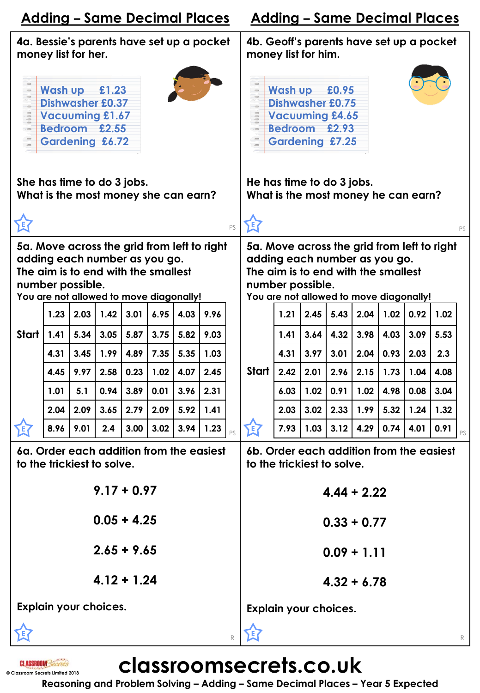|                                                                                                                                                                                    | <u> Adding – Same Decimal Places</u> |               |                                                                                                       |      |      |      |                                                                  | <u> Adding – Same Decimal Places</u>                                                                                                                                               |                                                                                                                         |      |      |               |               |      |      |      |    |
|------------------------------------------------------------------------------------------------------------------------------------------------------------------------------------|--------------------------------------|---------------|-------------------------------------------------------------------------------------------------------|------|------|------|------------------------------------------------------------------|------------------------------------------------------------------------------------------------------------------------------------------------------------------------------------|-------------------------------------------------------------------------------------------------------------------------|------|------|---------------|---------------|------|------|------|----|
| 4a. Bessie's parents have set up a pocket<br>money list for her.                                                                                                                   |                                      |               |                                                                                                       |      |      |      |                                                                  |                                                                                                                                                                                    | 4b. Geoff's parents have set up a pocket<br>money list for him.                                                         |      |      |               |               |      |      |      |    |
| 000<br>$\overline{a}$<br>$\frac{1}{2}$                                                                                                                                             | <b>Wash up</b>                       |               | £1.23<br><b>Dishwasher £0.37</b><br><b>Vacuuming £1.67</b><br>Bedroom £2.55<br><b>Gardening £6.72</b> |      |      |      |                                                                  |                                                                                                                                                                                    | <b>Wash up</b><br>£0.95<br><b>Dishwasher £0.75</b><br><b>Vacuuming £4.65</b><br>Bedroom £2.93<br><b>Gardening £7.25</b> |      |      |               |               |      |      |      |    |
| She has time to do 3 jobs.<br>What is the most money she can earn?                                                                                                                 |                                      |               |                                                                                                       |      |      |      | He has time to do 3 jobs.<br>What is the most money he can earn? |                                                                                                                                                                                    |                                                                                                                         |      |      |               |               |      |      |      |    |
| 国                                                                                                                                                                                  |                                      |               |                                                                                                       |      |      |      |                                                                  | PS                                                                                                                                                                                 |                                                                                                                         |      |      |               |               |      |      |      | PS |
| 5a. Move across the grid from left to right<br>adding each number as you go.<br>The aim is to end with the smallest<br>number possible.<br>You are not allowed to move diagonally! |                                      |               |                                                                                                       |      |      |      |                                                                  | 5a. Move across the grid from left to right<br>adding each number as you go.<br>The aim is to end with the smallest<br>number possible.<br>You are not allowed to move diagonally! |                                                                                                                         |      |      |               |               |      |      |      |    |
|                                                                                                                                                                                    | 1.23                                 | 2.03          | 1.42                                                                                                  | 3.01 | 6.95 | 4.03 | 9.96                                                             |                                                                                                                                                                                    |                                                                                                                         | 1.21 | 2.45 | 5.43          | 2.04          | 1.02 | 0.92 | 1.02 |    |
| <b>Start</b>                                                                                                                                                                       | 1.41                                 | 5.34          | 3.05                                                                                                  | 5.87 | 3.75 | 5.82 | 9.03                                                             |                                                                                                                                                                                    |                                                                                                                         | 1.41 | 3.64 | 4.32          | 3.98          | 4.03 | 3.09 | 5.53 |    |
|                                                                                                                                                                                    | 4.31                                 | 3.45          | 1.99                                                                                                  | 4.89 | 7.35 | 5.35 | 1.03                                                             |                                                                                                                                                                                    |                                                                                                                         | 4.31 | 3.97 | 3.01          | 2.04          | 0.93 | 2.03 | 2.3  |    |
|                                                                                                                                                                                    | 4.45                                 | 9.97          | 2.58                                                                                                  | 0.23 | 1.02 | 4.07 | 2.45                                                             |                                                                                                                                                                                    | Start                                                                                                                   | 2.42 | 2.01 | 2.96          | 2.15          | 1.73 | 1.04 | 4.08 |    |
|                                                                                                                                                                                    | 1.01                                 | 5.1           | 0.94                                                                                                  | 3.89 | 0.01 | 3.96 | 2.31                                                             |                                                                                                                                                                                    |                                                                                                                         | 6.03 | 1.02 | 0.91          | 1.02          | 4.98 | 0.08 | 3.04 |    |
|                                                                                                                                                                                    | 2.04                                 | 2.09          | 3.65                                                                                                  | 2.79 | 2.09 | 5.92 | 1.41                                                             |                                                                                                                                                                                    |                                                                                                                         | 2.03 | 3.02 | 2.33          | 1.99          | 5.32 | 1.24 | 1.32 |    |
| ۱Ę۱                                                                                                                                                                                |                                      | $8.96$   9.01 | 2.4                                                                                                   | 3.00 | 3.02 | 3.94 | 1.23                                                             | PS                                                                                                                                                                                 | 国                                                                                                                       | 7.93 |      | $1.03$   3.12 | 4.29          | 0.74 | 4.01 | 0.91 | PS |
| 6a. Order each addition from the easiest<br>to the trickiest to solve.                                                                                                             |                                      |               |                                                                                                       |      |      |      |                                                                  |                                                                                                                                                                                    | 6b. Order each addition from the easiest<br>to the trickiest to solve.                                                  |      |      |               |               |      |      |      |    |
|                                                                                                                                                                                    |                                      |               | $9.17 + 0.97$                                                                                         |      |      |      |                                                                  |                                                                                                                                                                                    |                                                                                                                         |      |      |               | $4.44 + 2.22$ |      |      |      |    |
|                                                                                                                                                                                    |                                      |               | $0.05 + 4.25$                                                                                         |      |      |      |                                                                  |                                                                                                                                                                                    |                                                                                                                         |      |      |               | $0.33 + 0.77$ |      |      |      |    |
|                                                                                                                                                                                    |                                      |               | $2.65 + 9.65$                                                                                         |      |      |      |                                                                  |                                                                                                                                                                                    |                                                                                                                         |      |      |               | $0.09 + 1.11$ |      |      |      |    |
|                                                                                                                                                                                    | $4.12 + 1.24$                        |               |                                                                                                       |      |      |      |                                                                  |                                                                                                                                                                                    |                                                                                                                         |      |      | $4.32 + 6.78$ |               |      |      |      |    |
|                                                                                                                                                                                    | <b>Explain your choices.</b>         |               |                                                                                                       |      |      |      | <b>Explain your choices.</b>                                     |                                                                                                                                                                                    |                                                                                                                         |      |      |               |               |      |      |      |    |
|                                                                                                                                                                                    |                                      |               |                                                                                                       |      |      |      |                                                                  | R                                                                                                                                                                                  |                                                                                                                         |      |      |               |               |      |      |      | R  |

**CLASSROOM** Secrets **© Classroom Secrets Limited 2018** **classroomsecrets.co.uk**

**Reasoning and Problem Solving – Adding – Same Decimal Places – Year 5 Expected**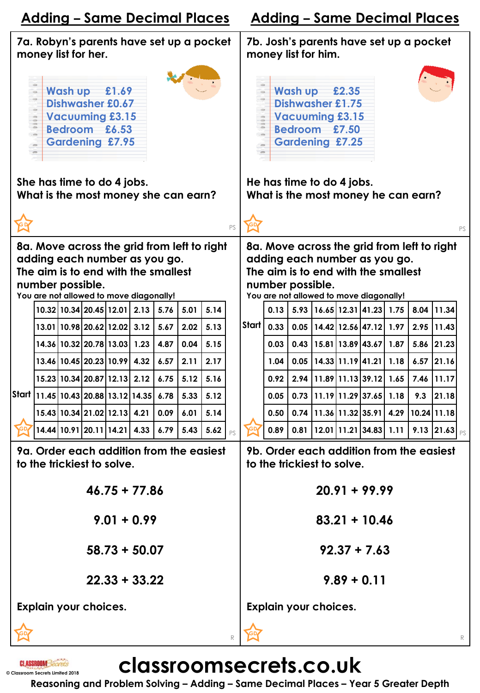|                                                                                                                                                                                    | <u> Adding – Same Decimal Places</u>                                                                                                                                     |  |                                                                        |                 |  |      |                                                     | <b>Adding - Same Decimal Places</b> |                           |                                                                                       |                                                                                                                                                                |                |                            |  |                                                            |      |     |                    |    |
|------------------------------------------------------------------------------------------------------------------------------------------------------------------------------------|--------------------------------------------------------------------------------------------------------------------------------------------------------------------------|--|------------------------------------------------------------------------|-----------------|--|------|-----------------------------------------------------|-------------------------------------|---------------------------|---------------------------------------------------------------------------------------|----------------------------------------------------------------------------------------------------------------------------------------------------------------|----------------|----------------------------|--|------------------------------------------------------------|------|-----|--------------------|----|
|                                                                                                                                                                                    |                                                                                                                                                                          |  | 7a. Robyn's parents have set up a pocket<br>money list for her.        |                 |  |      |                                                     |                                     |                           |                                                                                       |                                                                                                                                                                |                | money list for him.        |  | 7b. Josh's parents have set up a pocket                    |      |     |                    |    |
|                                                                                                                                                                                    | Wash up £1.69<br>6<br><b>Dishwasher £0.67</b><br><b>Vacuuming £3.15</b><br>Bedroom £6.53<br><b>Gardening £7.95</b><br>$\equiv$<br>$\equiv$<br>She has time to do 4 jobs. |  |                                                                        |                 |  |      | $\frac{1}{2}$<br>$\frac{1}{2}$<br>$\cdot$<br>$\sim$ |                                     | Wash up                   | Dishwasher £1.75<br><b>Vacuuming £3.15</b><br>Bedroom £7.50<br><b>Gardening £7.25</b> | £2.35                                                                                                                                                          |                |                            |  |                                                            |      |     |                    |    |
|                                                                                                                                                                                    | What is the most money she can earn?                                                                                                                                     |  |                                                                        |                 |  |      |                                                     |                                     | He has time to do 4 jobs. |                                                                                       | What is the most money he can earn?                                                                                                                            |                |                            |  |                                                            |      |     |                    |    |
|                                                                                                                                                                                    |                                                                                                                                                                          |  |                                                                        |                 |  |      |                                                     |                                     | PS                        |                                                                                       |                                                                                                                                                                |                |                            |  |                                                            |      |     |                    | PS |
| 8a. Move across the grid from left to right<br>adding each number as you go.<br>The aim is to end with the smallest<br>number possible.<br>You are not allowed to move diagonally! |                                                                                                                                                                          |  |                                                                        |                 |  |      |                                                     |                                     | number possible.          |                                                                                       | 8a. Move across the grid from left to right<br>adding each number as you go.<br>The aim is to end with the smallest<br>You are not allowed to move diagonally! |                |                            |  |                                                            |      |     |                    |    |
|                                                                                                                                                                                    |                                                                                                                                                                          |  | 10.32 10.34 20.45 12.01 2.13                                           |                 |  | 5.76 | 5.01                                                | 5.14                                |                           |                                                                                       | 0.13                                                                                                                                                           |                |                            |  | $5.93$   16.65   12.31   41.23   1.75                      |      |     | $8.04$   11.34     |    |
|                                                                                                                                                                                    |                                                                                                                                                                          |  | 13.01 10.98 20.62 12.02 3.12                                           |                 |  | 5.67 | 2.02                                                | 5.13                                |                           | Start                                                                                 | 0.33                                                                                                                                                           |                |                            |  | $0.05$   14.42   12.56   47.12   1.97                      |      |     | $2.95$   11.43     |    |
|                                                                                                                                                                                    |                                                                                                                                                                          |  | 14.36 10.32 20.78 13.03 1.23                                           |                 |  | 4.87 | 0.04                                                | 5.15                                |                           |                                                                                       | 0.03                                                                                                                                                           |                |                            |  | $0.43$   15.81   13.89   43.67                             | 1.87 |     | 5.86 21.23         |    |
|                                                                                                                                                                                    |                                                                                                                                                                          |  | 13.46   10.45   20.23   10.99   4.32                                   |                 |  | 6.57 | 2.11                                                | 2.17                                |                           |                                                                                       | 1.04                                                                                                                                                           |                |                            |  | $0.05$   14.33   11.19   41.21                             | 1.18 |     | $6.57$ 21.16       |    |
|                                                                                                                                                                                    |                                                                                                                                                                          |  | 15.23 10.34 20.87 12.13 2.12                                           |                 |  | 6.75 | 5.12                                                | 5.16                                |                           |                                                                                       | 0.92                                                                                                                                                           |                |                            |  | 2.94   11.89   11.13   39.12   1.65                        |      |     | $7.46$ 11.17       |    |
| Start                                                                                                                                                                              |                                                                                                                                                                          |  | 11.45 10.43 20.88 13.12 14.35 6.78                                     |                 |  |      | 5.33                                                | 5.12                                |                           |                                                                                       | 0.05                                                                                                                                                           |                |                            |  | $0.73$   11.19   11.29   37.65   1.18                      |      | 9.3 | 21.18              |    |
|                                                                                                                                                                                    |                                                                                                                                                                          |  | 15.43   10.34   21.02   12.13   4.21   0.09   6.01                     |                 |  |      |                                                     | 5.14                                |                           |                                                                                       |                                                                                                                                                                |                |                            |  | 0.50   0.74   11.36   11.32   35.91   4.29   10.24   11.18 |      |     |                    |    |
|                                                                                                                                                                                    |                                                                                                                                                                          |  | 14.44 10.91 20.11 14.21 4.33 6.79 5.43                                 |                 |  |      |                                                     | 5.62                                | PS                        |                                                                                       | 0.89                                                                                                                                                           |                |                            |  | $0.81$   12.01   11.21   34.83   1.11                      |      |     | 9.13 21.63 $_{PS}$ |    |
|                                                                                                                                                                                    |                                                                                                                                                                          |  | 9a. Order each addition from the easiest<br>to the trickiest to solve. |                 |  |      |                                                     |                                     |                           |                                                                                       |                                                                                                                                                                |                | to the trickiest to solve. |  | 9b. Order each addition from the easiest                   |      |     |                    |    |
|                                                                                                                                                                                    |                                                                                                                                                                          |  |                                                                        | $46.75 + 77.86$ |  |      |                                                     |                                     |                           |                                                                                       |                                                                                                                                                                |                |                            |  | $20.91 + 99.99$                                            |      |     |                    |    |
|                                                                                                                                                                                    |                                                                                                                                                                          |  |                                                                        | $9.01 + 0.99$   |  |      |                                                     |                                     |                           |                                                                                       |                                                                                                                                                                |                |                            |  | $83.21 + 10.46$                                            |      |     |                    |    |
|                                                                                                                                                                                    | $58.73 + 50.07$                                                                                                                                                          |  |                                                                        |                 |  |      |                                                     |                                     |                           |                                                                                       |                                                                                                                                                                | $92.37 + 7.63$ |                            |  |                                                            |      |     |                    |    |
|                                                                                                                                                                                    | $22.33 + 33.22$                                                                                                                                                          |  |                                                                        |                 |  |      |                                                     |                                     |                           |                                                                                       | $9.89 + 0.11$                                                                                                                                                  |                |                            |  |                                                            |      |     |                    |    |
|                                                                                                                                                                                    | <b>Explain your choices.</b>                                                                                                                                             |  |                                                                        |                 |  |      |                                                     | <b>Explain your choices.</b>        |                           |                                                                                       |                                                                                                                                                                |                |                            |  |                                                            |      |     |                    |    |
|                                                                                                                                                                                    |                                                                                                                                                                          |  |                                                                        |                 |  |      |                                                     |                                     | R                         |                                                                                       |                                                                                                                                                                |                |                            |  |                                                            |      |     |                    | R  |



**classroomsecrets.co.uk**

**Reasoning and Problem Solving – Adding – Same Decimal Places – Year 5 Greater Depth**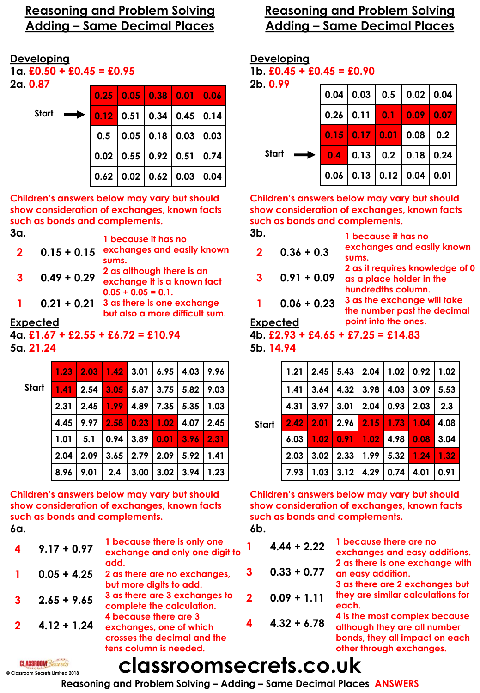## **Reasoning and Problem Solving Adding – Same Decimal Places**

#### **Developing**

**1a. £0.50 + £0.45 = £0.95**

**2a. 0.87**

| 1.87  |  |                            |                                                    |
|-------|--|----------------------------|----------------------------------------------------|
|       |  | $0.25$ 0.05 0.38 0.01 0.06 |                                                    |
| Start |  |                            | $\longrightarrow$ 0.12 0.51 0.34 0.45 0.14         |
|       |  |                            | $0.5 \mid 0.05 \mid 0.18 \mid 0.03 \mid 0.03 \mid$ |
|       |  |                            | $0.02$ 0.55 0.92 0.51 0.74                         |
|       |  |                            | $0.62$   0.02   0.62   0.03   0.04                 |

**Children's answers below may vary but should show consideration of exchanges, known facts such as bonds and complements.**

| 3a. |               | 1 because it has no                                      |
|-----|---------------|----------------------------------------------------------|
| 2   | $0.15 + 0.15$ | exchanges and easily known<br>sums.                      |
| 3   | $0.49 + 0.29$ | 2 as although there is an<br>exchange it is a known fact |
|     | $0.21 + 0.21$ | $0.05 + 0.05 = 0.1$ .<br>3 as there is one exchange      |

**but also a more difficult sum.**

#### **Expected**

### **4a. £1.67 + £2.55 + £6.72 = £10.94 5a. 21.24**

|       |      |  |                                | $1.23$   2.03   1.42   3.01   6.95   4.03   9.96                        |
|-------|------|--|--------------------------------|-------------------------------------------------------------------------|
| Start |      |  |                                | $1.41$ 2.54 3.05 5.87 3.75 5.82 9.03                                    |
|       |      |  |                                | $2.31 \mid 2.45 \mid 1.99 \mid 4.89 \mid 7.35 \mid 5.35 \mid 1.03 \mid$ |
|       |      |  |                                | 4.45   9.97 2.58 0.23   1.02   4.07   2.45                              |
|       | 1.01 |  | $5.1$ 0.94 3.89 0.01 3.96 2.31 |                                                                         |
|       |      |  |                                | $2.04$   2.09   3.65   2.79   2.09   5.92   1.41                        |
|       |      |  |                                | $8.96$   9.01   2.4   3.00   3.02   3.94   1.23                         |

**Children's answers below may vary but should show consideration of exchanges, known facts such as bonds and complements. 6a.**

| $9.17 + 0.97$ | 1 because there is only one<br>exchange and only one digit to<br>add.                                     |  |
|---------------|-----------------------------------------------------------------------------------------------------------|--|
| $0.05 + 4.25$ | 2 as there are no exchanges,<br>but more digits to add.                                                   |  |
| $2.65 + 9.65$ | 3 as there are 3 exchanges to<br>complete the calculation.                                                |  |
| $4.12 + 1.24$ | 4 because there are 3<br>exchanges, one of which<br>crosses the decimal and the<br>tens column is needed. |  |

## **Reasoning and Problem Solving Adding – Same Decimal Places**

### **Developing**

## **1b. £0.45 + £0.45 = £0.90**

**2b. 0.99**

| . U.77                                        |  | $0.04$ 0.03 0.5 0.02 0.04                                     |  |
|-----------------------------------------------|--|---------------------------------------------------------------|--|
|                                               |  | $0.26$ 0.11 0.1 0.09 0.07                                     |  |
|                                               |  | $\vert 0.15 \vert 0.17 \vert 0.01 \vert 0.08 \vert 0.2 \vert$ |  |
| $\rightarrow$ 0.4 0.13 0.2 0.18 0.24<br>Start |  |                                                               |  |
|                                               |  | $0.06$ 0.13 0.12 0.04 0.01                                    |  |

**Children's answers below may vary but should show consideration of exchanges, known facts such as bonds and complements. 3b. 1 because it has no** 

|              |                 | T DECOUSE II NOS NO                                                               |
|--------------|-----------------|-----------------------------------------------------------------------------------|
| $\mathbf{2}$ | $0.36 + 0.3$    | exchanges and easily known<br>sums.                                               |
| 3            | $0.91 + 0.09$   | 2 as it requires knowledge of 0<br>as a place holder in the<br>hundredths column. |
| $\mathbf{1}$ | $0.06 + 0.23$   | 3 as the exchange will take<br>the number past the decimal                        |
|              | <b>Expected</b> | point into the ones.                                                              |
|              |                 |                                                                                   |

#### **4b. £2.93 + £4.65 + £7.25 = £14.83 5b. 14.94**

|       |      |                                                  |  |                                 | $1.21$   2.45   5.43   2.04   1.02   0.92   1.02 |
|-------|------|--------------------------------------------------|--|---------------------------------|--------------------------------------------------|
|       | 1.41 |                                                  |  |                                 | $ 3.64 $ 4.32 $ 3.98 $ 4.03 $ 3.09 $ 5.53 $ $    |
|       | 4.31 | 3.97 3.01 2.04 0.93 2.03                         |  |                                 | 2.3                                              |
| Start |      | $2.42$   2.01   2.96   2.15   1.73   1.04        |  |                                 | 4.08                                             |
|       | 6.03 |                                                  |  | $1.02$ 0.91 1.02 4.98 0.08 3.04 |                                                  |
|       |      | $2.03$   3.02   2.33   1.99   5.32   1.24   1.32 |  |                                 |                                                  |
|       | 7.93 |                                                  |  | $1.03$ 3.12 4.29 0.74 4.01      | 0.91                                             |

**Children's answers below may vary but should show consideration of exchanges, known facts such as bonds and complements. 6b.**

**1 because there are no exchanges and easy additions. 2 as there is one exchange with an easy addition. 3 as there are 2 exchanges but they are similar calculations for each. 4 is the most complex because 1 4.44 + 2.22 3 0.33 + 0.77 2 0.09 + 1.11 4 4.32 + 6.78**

**although they are all number bonds, they all impact on each other through exchanges.**

#### **CLASSROOM**Secrets **© Classroom Secrets Limited 2018**

# **classroomsecrets.co.uk**

**Reasoning and Problem Solving – Adding – Same Decimal Places ANSWERS**